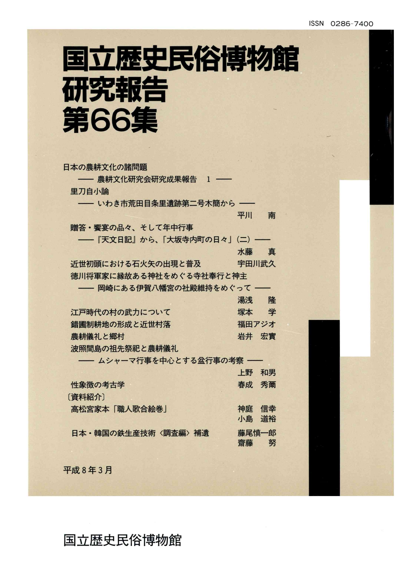# 国立歴史民俗博物館 研究報告 第66集

| 日本の農耕文化の諸問題                 |       |    |
|-----------------------------|-------|----|
| —— 農耕文化研究会研究成果報告   1  –     |       |    |
| 里刀自小論                       |       |    |
| - いわき市荒田目条里遺跡第二号木簡から -      |       |    |
|                             | 平川    | 南  |
| 贈答・饗宴の品々、そして年中行事            |       |    |
|                             |       |    |
| ――『天文日記』から、「大坂寺内町の日々」 (二) ― |       |    |
|                             | 水藤    | 真  |
| 近世初頭における石火矢の出現と普及           | 宇田川武久 |    |
| 徳川将軍家に縁故ある神社をめぐる寺社奉行と神主     |       |    |
| ―― 岡崎にある伊賀八幡宮の社殿維持をめぐって ――  |       |    |
|                             | 湯浅の隆  |    |
| 江戸時代の村の武力について               | 塚本 学  |    |
|                             | 福田アジオ |    |
| 錯圃制耕地の形成と近世村落               |       |    |
| 農耕儀礼と郷村                     | 岩井 宏實 |    |
| 波照間島の祖先祭祀と農耕儀礼              |       |    |
| ―― ムシャーマ行事を中心とする盆行事の考察 ――   |       |    |
|                             | 上野    | 和男 |
| 性象徴の考古学                     | 春成 秀爾 |    |
| [資料紹介]                      |       |    |
| 高松宮家本「職人歌合絵巻」               | 神庭    | 信幸 |
|                             | 小島    | 道裕 |
|                             |       |    |
| 日本・韓国の鉄生産技術〈調査編〉補遺          | 藤尾慎一郎 |    |
|                             | 齋藤 努  |    |
|                             |       |    |

平成8年3月

国立歴史民俗博物館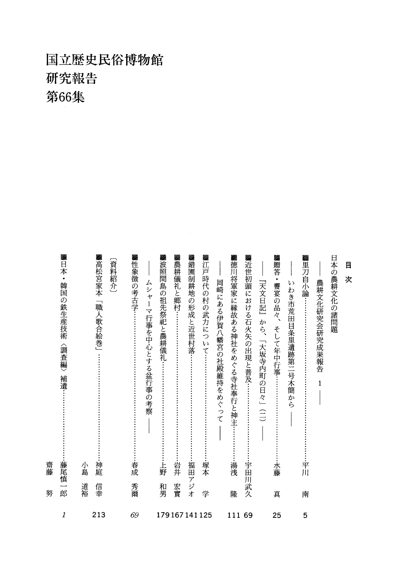### 国立歴史民俗博物館 研究報告 第66集

|              | 努  | 齋藤                                                                                                                                                                                                                                                                                                                                                                                                                                                                 |
|--------------|----|--------------------------------------------------------------------------------------------------------------------------------------------------------------------------------------------------------------------------------------------------------------------------------------------------------------------------------------------------------------------------------------------------------------------------------------------------------------------|
| 1            | 郎  | ▓日本・韓国の鉄生産技術<br>〈調査編〉<br>補遺…<br>藤尾慎一                                                                                                                                                                                                                                                                                                                                                                                                                               |
|              | 道裕 | 小島                                                                                                                                                                                                                                                                                                                                                                                                                                                                 |
| 213          | 信幸 | ▓高松宮家本<br>「職人歌合絵巻」<br>神庭                                                                                                                                                                                                                                                                                                                                                                                                                                           |
|              |    | 〔資料紹介〕                                                                                                                                                                                                                                                                                                                                                                                                                                                             |
| 69           | 秀爾 | ■性象徴の考古学………<br>春成                                                                                                                                                                                                                                                                                                                                                                                                                                                  |
|              |    | ムシ<br>$\ddot{\textbf{r}}$<br>$\begin{array}{c} \rule{0pt}{2ex} \rule{0pt}{2ex} \rule{0pt}{2ex} \rule{0pt}{2ex} \rule{0pt}{2ex} \rule{0pt}{2ex} \rule{0pt}{2ex} \rule{0pt}{2ex} \rule{0pt}{2ex} \rule{0pt}{2ex} \rule{0pt}{2ex} \rule{0pt}{2ex} \rule{0pt}{2ex} \rule{0pt}{2ex} \rule{0pt}{2ex} \rule{0pt}{2ex} \rule{0pt}{2ex} \rule{0pt}{2ex} \rule{0pt}{2ex} \rule{0pt}{2ex} \rule{0pt}{2ex} \rule{0pt}{2ex} \rule{0pt}{2ex} \rule{0pt}{$<br>7<br>行事を中心とする盆行事の考察 |
|              | 和男 | 波照間島の祖先祭祀と農耕儀礼…<br>上野                                                                                                                                                                                                                                                                                                                                                                                                                                              |
| 179167141125 | 宏實 | ▓農耕儀礼と郷村……<br>岩井                                                                                                                                                                                                                                                                                                                                                                                                                                                   |
|              |    | ■錯圃制耕地の形成と近世村落……<br>•福田アジオ                                                                                                                                                                                                                                                                                                                                                                                                                                         |
|              | 学  | ■江戸時代の村の武力について……………………<br>塚本                                                                                                                                                                                                                                                                                                                                                                                                                                       |
|              |    | 岡崎にある伊賀八幡宮の社殿維持をめぐって                                                                                                                                                                                                                                                                                                                                                                                                                                               |
| 111          | 隆  | ■徳川将軍家に縁故ある神社をめぐる寺社奉行と神主…<br>湯浅                                                                                                                                                                                                                                                                                                                                                                                                                                    |
| 69           |    | ■近世初頭における石火矢の出現と普及…<br>宇田川武久                                                                                                                                                                                                                                                                                                                                                                                                                                       |
|              |    | 『天文日記』から、「大坂寺内町の日々」(二)                                                                                                                                                                                                                                                                                                                                                                                                                                             |
| 25           | 真  | ▓贈答・饗宴の品々、<br>そして年中行事……<br>水藤                                                                                                                                                                                                                                                                                                                                                                                                                                      |
|              |    | いわき市荒田目条里遺跡第二号木簡から                                                                                                                                                                                                                                                                                                                                                                                                                                                 |
| 5            | 南  | ▓里刀自小論…<br>平川                                                                                                                                                                                                                                                                                                                                                                                                                                                      |
|              |    | 農耕文化研究会研究成果報告<br>$\mathbf{1}$                                                                                                                                                                                                                                                                                                                                                                                                                                      |
|              |    | 日本の農耕文化の諸問題                                                                                                                                                                                                                                                                                                                                                                                                                                                        |
|              |    | 目<br>次                                                                                                                                                                                                                                                                                                                                                                                                                                                             |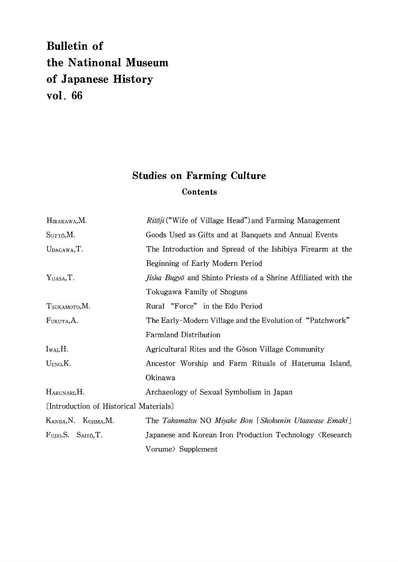#### **Bulletin of** the Natinonal Museum of Japanese History vol. 66

#### **Studies on Farming Culture Contents**

| HIRAKAWA, M.                           | $Rit\bar{o}ji$ ("Wife of Village Head") and Farming Management               |  |  |
|----------------------------------------|------------------------------------------------------------------------------|--|--|
| S <sub>UTTO</sub> , M.                 | Goods Used as Gifts and at Banquets and Annual Events                        |  |  |
| UDAGAWA, T.                            | The Introduction and Spread of the Ishibiya Firearm at the                   |  |  |
|                                        | Beginning of Early Modern Period                                             |  |  |
| Y <sub>UASA</sub> , T.                 | <i>Jisha Bugyō</i> and Shinto Priests of a Shrine Affiliated with the        |  |  |
|                                        | Tokugawa Family of Shoguns                                                   |  |  |
| T <sub>SUKAMOTO</sub> , M.             | Rural "Force" in the Edo Period                                              |  |  |
| FUKUTA, A.                             | The Early-Modern Village and the Evolution of "Patchwork"                    |  |  |
|                                        | <b>Farmland Distribution</b>                                                 |  |  |
| $I_{WAI}, H.$                          | Agricultural Rites and the Goson Village Community                           |  |  |
| U <sub>ENO</sub> , K.                  | Ancestor Worship and Farm Rituals of Hateruma Island,                        |  |  |
|                                        | Okinawa                                                                      |  |  |
| HARUNARI, H.                           | Archaeology of Sexual Symbolism in Japan                                     |  |  |
| (Introduction of Historical Materials) |                                                                              |  |  |
| KANBA, N. KOJIMA, M.                   | The Takamatsu NO Miyake Bon [Shokunin Utaawase Emaki]                        |  |  |
| $F_{\text{UJIO}}$ , S. SAITÔ, T.       | Japanese and Korean Iron Production Technology <research< td=""></research<> |  |  |
|                                        | Vorume> Supplement                                                           |  |  |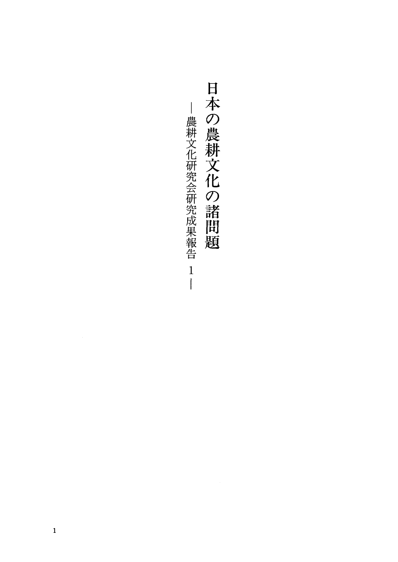日本の農耕文化の諸問題 – 農耕文化研究会研究成果報告 —農耕文化研究会研究成果報告 1.  $\frac{1}{\vert}$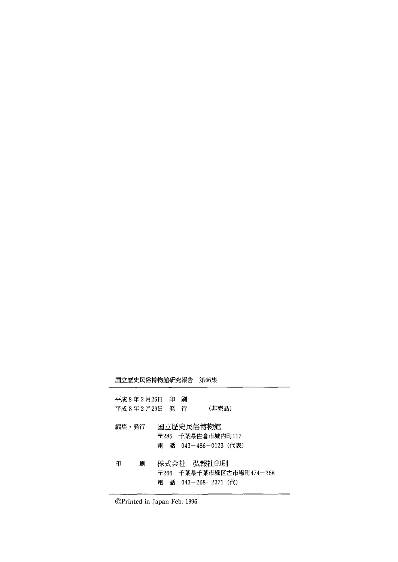国立歴史民俗博物館研究報告 第66集

| 平成 8 年 2 月 26日 印 刷<br>平成8年2月29日 発行 |                                    | (非売品)                                     |
|------------------------------------|------------------------------------|-------------------------------------------|
| 編集・発行                              | 国立歴史民俗博物館                          | 〒285 千葉県佐倉市城内町117<br>電 話 043-486-0123(代表) |
| 刷<br>印                             | 株式会社 弘報社印刷<br>電 話 043-268-2371 (代) | 〒266 千葉県千葉市緑区古市場町474-26                   |